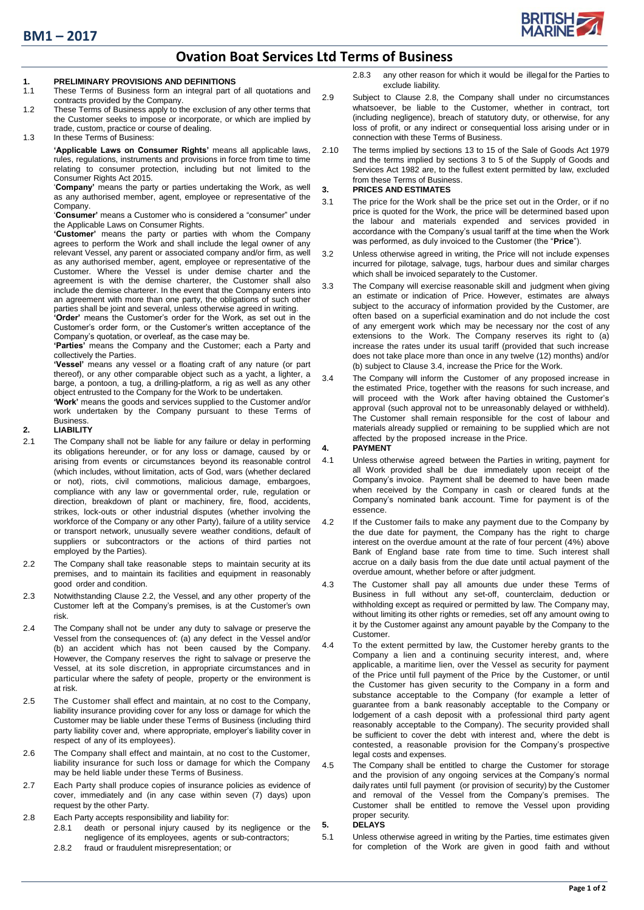

# **Ovation Boat Services Ltd Terms of Business**

# **1. PRELIMINARY PROVISIONS AND DEFINITIONS**

- These Terms of Business form an integral part of all quotations and contracts provided by the Company.
- 1.2 These Terms of Business apply to the exclusion of any other terms that the Customer seeks to impose or incorporate, or which are implied by trade, custom, practice or course of dealing.

## 1.3 In these Terms of Business:

**'Applicable Laws on Consumer Rights'** means all applicable laws, rules, regulations, instruments and provisions in force from time to time relating to consumer protection, including but not limited to the Consumer Rights Act 2015.

'**Company'** means the party or parties undertaking the Work, as well as any authorised member, agent, employee or representative of the Company.

'**Consumer'** means a Customer who is considered a "consumer" under the Applicable Laws on Consumer Rights.

**'Customer'** means the party or parties with whom the Company agrees to perform the Work and shall include the legal owner of any relevant Vessel, any parent or associated company and/or firm, as well as any authorised member, agent, employee or representative of the Customer. Where the Vessel is under demise charter and the agreement is with the demise charterer, the Customer shall also include the demise charterer. In the event that the Company enters into an agreement with more than one party, the obligations of such other parties shall be joint and several, unless otherwise agreed in writing.

**'Order'** means the Customer's order for the Work, as set out in the Customer's order form, or the Customer's written acceptance of the Company's quotation, or overleaf, as the case may be.

**'Parties'** means the Company and the Customer; each a Party and collectively the Parties.

**'Vessel'** means any vessel or a floating craft of any nature (or part thereof), or any other comparable object such as a yacht, a lighter, a barge, a pontoon, a tug, a drilling-platform, a rig as well as any other object entrusted to the Company for the Work to be undertaken.

**'Work'** means the goods and services supplied to the Customer and/or work undertaken by the Company pursuant to these Terms of **Business** 

### **2. LIABILITY**

- 2.1 The Company shall not be liable for any failure or delay in performing its obligations hereunder, or for any loss or damage, caused by or arising from events or circumstances beyond its reasonable control (which includes, without limitation, acts of God, wars (whether declared or not), riots, civil commotions, malicious damage, embargoes, compliance with any law or governmental order, rule, regulation or direction, breakdown of plant or machinery, fire, flood, accidents, strikes, lock-outs or other industrial disputes (whether involving the workforce of the Company or any other Party), failure of a utility service or transport network, unusually severe weather conditions, default of suppliers or subcontractors or the actions of third parties not employed by the Parties).
- <span id="page-0-0"></span>2.2 The Company shall take reasonable steps to maintain security at its premises, and to maintain its facilities and equipment in reasonably good order and condition.
- 2.3 Notwithstanding Clause [2.2,](#page-0-0) the Vessel, and any other property of the Customer left at the Company's premises, is at the Customer's own risk.
- 2.4 The Company shall not be under any duty to salvage or preserve the Vessel from the consequences of: (a) any defect in the Vessel and/or (b) an accident which has not been caused by the Company. However, the Company reserves the right to salvage or preserve the Vessel, at its sole discretion, in appropriate circumstances and in particular where the safety of people, property or the environment is at risk.
- 2.5 The Customer shall effect and maintain, at no cost to the Company, liability insurance providing cover for any loss or damage for which the Customer may be liable under these Terms of Business (including third party liability cover and, where appropriate, employer's liability cover in respect of any of its employees).
- 2.6 The Company shall effect and maintain, at no cost to the Customer, liability insurance for such loss or damage for which the Company may be held liable under these Terms of Business.
- 2.7 Each Party shall produce copies of insurance policies as evidence of cover, immediately and (in any case within seven (7) days) upon request by the other Party.
- 2.8 Each Party accepts responsibility and liability for:
	- 2.8.1 death or personal injury caused by its negligence or the negligence of its employees, agents or sub-contractors;
	- 2.8.2 fraud or fraudulent misrepresentation; or

2.8.3 any other reason for which it would be illegal for the Parties to exclude liability.

- 2.9 Subject to Clause 2.8, the Company shall under no circumstances whatsoever, be liable to the Customer, whether in contract, tort (including negligence), breach of statutory duty, or otherwise, for any loss of profit, or any indirect or consequential loss arising under or in connection with these Terms of Business.
- 2.10 The terms implied by sections 13 to 15 of the Sale of Goods Act 1979 and the terms implied by sections 3 to 5 of the Supply of Goods and Services Act 1982 are, to the fullest extent permitted by law, excluded from these Terms of Business.

### **3. PRICES AND ESTIMATES**

- 3.1 The price for the Work shall be the price set out in the Order, or if no price is quoted for the Work, the price will be determined based upon the labour and materials expended and services provided in accordance with the Company's usual tariff at the time when the Work was performed, as duly invoiced to the Customer (the "**Price**").
- 3.2 Unless otherwise agreed in writing, the Price will not include expenses incurred for pilotage, salvage, tugs, harbour dues and similar charges which shall be invoiced separately to the Customer.
- 3.3 The Company will exercise reasonable skill and judgment when giving an estimate or indication of Price. However, estimates are always subject to the accuracy of information provided by the Customer, are often based on a superficial examination and do not include the cost of any emergent work which may be necessary nor the cost of any extensions to the Work. The Company reserves its right to (a) increase the rates under its usual tariff (provided that such increase does not take place more than once in any twelve (12) months) and/or (b) subject to Claus[e 3.4,](#page-0-1) increase the Price for the Work.
- <span id="page-0-1"></span>3.4 The Company will inform the Customer of any proposed increase in the estimated Price, together with the reasons for such increase, and will proceed with the Work after having obtained the Customer's approval (such approval not to be unreasonably delayed or withheld). The Customer shall remain responsible for the cost of labour and materials already supplied or remaining to be supplied which are not affected by the proposed increase in the Price.
- **4. PAYMENT**
- 4.1 Unless otherwise agreed between the Parties in writing, payment for all Work provided shall be due immediately upon receipt of the Company's invoice. Payment shall be deemed to have been made when received by the Company in cash or cleared funds at the Company's nominated bank account. Time for payment is of the essence.
- 4.2 If the Customer fails to make any payment due to the Company by the due date for payment, the Company has the right to charge interest on the overdue amount at the rate of four percent (4%) above Bank of England base rate from time to time. Such interest shall accrue on a daily basis from the due date until actual payment of the overdue amount, whether before or after judgment.
- 4.3 The Customer shall pay all amounts due under these Terms of Business in full without any set-off, counterclaim, deduction or withholding except as required or permitted by law. The Company may, without limiting its other rights or remedies, set off any amount owing to it by the Customer against any amount payable by the Company to the Customer.
- 4.4 To the extent permitted by law, the Customer hereby grants to the Company a lien and a continuing security interest, and, where applicable, a maritime lien, over the Vessel as security for payment of the Price until full payment of the Price by the Customer, or until the Customer has given security to the Company in a form and substance acceptable to the Company (for example a letter of guarantee from a bank reasonably acceptable to the Company or lodgement of a cash deposit with a professional third party agent reasonably acceptable to the Company). The security provided shall be sufficient to cover the debt with interest and, where the debt is contested, a reasonable provision for the Company's prospective legal costs and expenses.
- 4.5 The Company shall be entitled to charge the Customer for storage and the provision of any ongoing services at the Company's normal daily rates until full payment (or provision of security) by the Customer and removal of the Vessel from the Company's premises. The Customer shall be entitled to remove the Vessel upon providing proper security.

## **5. DELAYS**

5.1 Unless otherwise agreed in writing by the Parties, time estimates given for completion of the Work are given in good faith and without